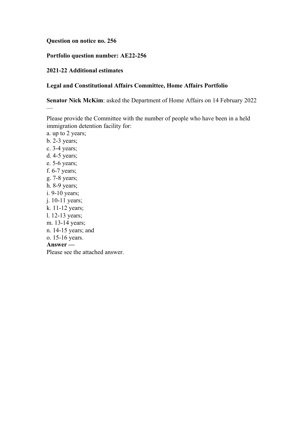#### **Question on notice no. 256**

## **Portfolio question number: AE22-256**

## **2021-22 Additional estimates**

—

## **Legal and Constitutional Affairs Committee, Home Affairs Portfolio**

**Senator Nick McKim**: asked the Department of Home Affairs on 14 February 2022

Please provide the Committee with the number of people who have been in a held immigration detention facility for:

a. up to 2 years; b. 2-3 years; c. 3-4 years; d. 4-5 years; e. 5-6 years; f. 6-7 years; g. 7-8 years; h. 8-9 years; i. 9-10 years; j. 10-11 years; k. 11-12 years; l. 12-13 years; m. 13-14 years; n. 14-15 years; and o. 15-16 years. **Answer —** Please see the attached answer.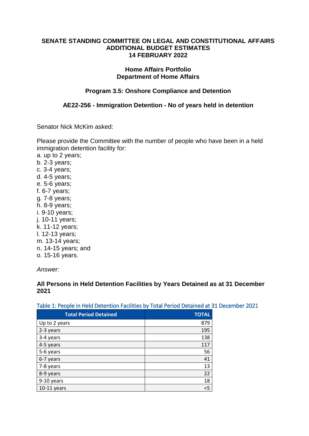#### **SENATE STANDING COMMITTEE ON LEGAL AND CONSTITUTIONAL AFFAIRS ADDITIONAL BUDGET ESTIMATES 14 FEBRUARY 2022**

#### **Home Affairs Portfolio Department of Home Affairs**

# **Program 3.5: Onshore Compliance and Detention**

## **AE22-256 - Immigration Detention - No of years held in detention**

Senator Nick McKim asked:

Please provide the Committee with the number of people who have been in a held immigration detention facility for:

a. up to 2 years; b. 2-3 years; c. 3-4 years; d. 4-5 years; e. 5-6 years; f. 6-7 years; g. 7-8 years; h. 8-9 years; i. 9-10 years; j. 10-11 years; k. 11-12 years; l. 12-13 years; m. 13-14 years; n. 14-15 years; and o. 15-16 years.

*Answer:*

**All Persons in Held Detention Facilities by Years Detained as at 31 December 2021**

| .                            |              |
|------------------------------|--------------|
| <b>Total Period Detained</b> | <b>TOTAL</b> |
| Up to 2 years                | 879          |
| 2-3 years                    | 195          |
| 3-4 years                    | 138          |
| 4-5 years                    | 117          |
| 5-6 years                    | 56           |
| 6-7 years                    | 41           |
| 7-8 years                    | 13           |
| 8-9 years                    | 22           |
| 9-10 years                   | 18           |
| 10-11 years                  | $<$ 5        |

## Table 1: People in Held Detention Facilities by Total Period Detained at 31 December 2021